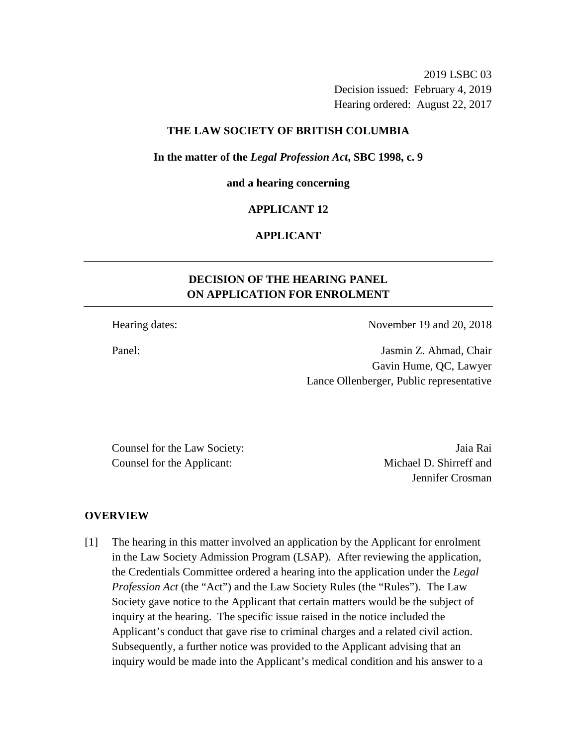2019 LSBC 03 Decision issued: February 4, 2019 Hearing ordered: August 22, 2017

## **THE LAW SOCIETY OF BRITISH COLUMBIA**

#### **In the matter of the** *Legal Profession Act***, SBC 1998, c. 9**

#### **and a hearing concerning**

## **APPLICANT 12**

# **APPLICANT**

# **DECISION OF THE HEARING PANEL ON APPLICATION FOR ENROLMENT**

Hearing dates: November 19 and 20, 2018

Panel: Jasmin Z. Ahmad, Chair Gavin Hume, QC, Lawyer Lance Ollenberger, Public representative

Counsel for the Law Society: Jaia Rai Counsel for the Applicant: Michael D. Shirreff and

Jennifer Crosman

#### **OVERVIEW**

[1] The hearing in this matter involved an application by the Applicant for enrolment in the Law Society Admission Program (LSAP). After reviewing the application, the Credentials Committee ordered a hearing into the application under the *Legal Profession Act* (the "Act") and the Law Society Rules (the "Rules"). The Law Society gave notice to the Applicant that certain matters would be the subject of inquiry at the hearing. The specific issue raised in the notice included the Applicant's conduct that gave rise to criminal charges and a related civil action. Subsequently, a further notice was provided to the Applicant advising that an inquiry would be made into the Applicant's medical condition and his answer to a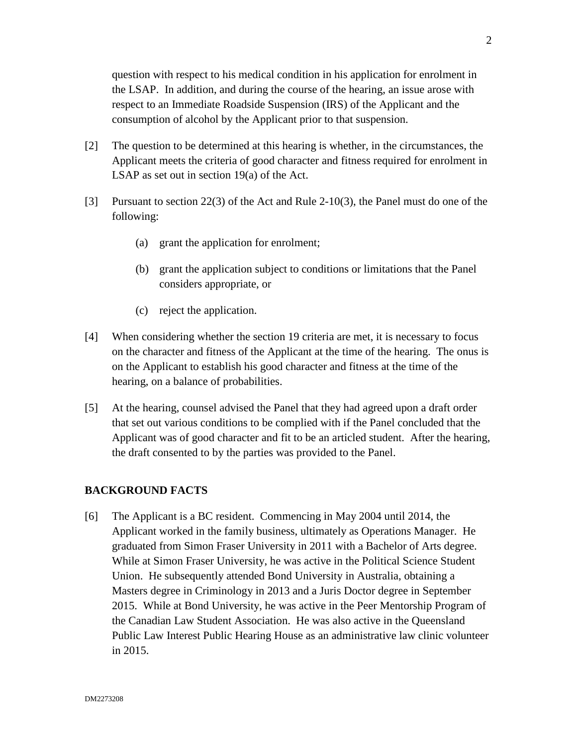question with respect to his medical condition in his application for enrolment in the LSAP. In addition, and during the course of the hearing, an issue arose with respect to an Immediate Roadside Suspension (IRS) of the Applicant and the consumption of alcohol by the Applicant prior to that suspension.

- [2] The question to be determined at this hearing is whether, in the circumstances, the Applicant meets the criteria of good character and fitness required for enrolment in LSAP as set out in section 19(a) of the Act.
- [3] Pursuant to section 22(3) of the Act and Rule 2-10(3), the Panel must do one of the following:
	- (a) grant the application for enrolment;
	- (b) grant the application subject to conditions or limitations that the Panel considers appropriate, or
	- (c) reject the application.
- [4] When considering whether the section 19 criteria are met, it is necessary to focus on the character and fitness of the Applicant at the time of the hearing. The onus is on the Applicant to establish his good character and fitness at the time of the hearing, on a balance of probabilities.
- [5] At the hearing, counsel advised the Panel that they had agreed upon a draft order that set out various conditions to be complied with if the Panel concluded that the Applicant was of good character and fit to be an articled student. After the hearing, the draft consented to by the parties was provided to the Panel.

## **BACKGROUND FACTS**

[6] The Applicant is a BC resident. Commencing in May 2004 until 2014, the Applicant worked in the family business, ultimately as Operations Manager. He graduated from Simon Fraser University in 2011 with a Bachelor of Arts degree. While at Simon Fraser University, he was active in the Political Science Student Union. He subsequently attended Bond University in Australia, obtaining a Masters degree in Criminology in 2013 and a Juris Doctor degree in September 2015. While at Bond University, he was active in the Peer Mentorship Program of the Canadian Law Student Association. He was also active in the Queensland Public Law Interest Public Hearing House as an administrative law clinic volunteer in 2015.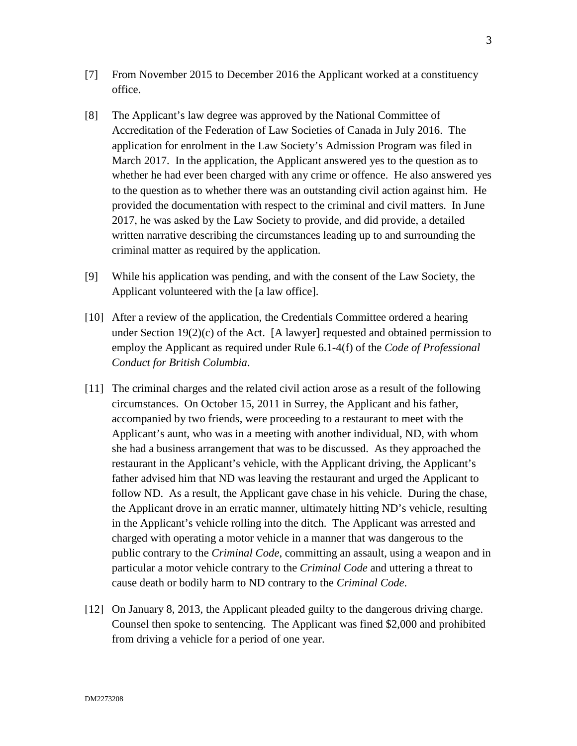- [7] From November 2015 to December 2016 the Applicant worked at a constituency office.
- [8] The Applicant's law degree was approved by the National Committee of Accreditation of the Federation of Law Societies of Canada in July 2016. The application for enrolment in the Law Society's Admission Program was filed in March 2017. In the application, the Applicant answered yes to the question as to whether he had ever been charged with any crime or offence. He also answered yes to the question as to whether there was an outstanding civil action against him. He provided the documentation with respect to the criminal and civil matters. In June 2017, he was asked by the Law Society to provide, and did provide, a detailed written narrative describing the circumstances leading up to and surrounding the criminal matter as required by the application.
- [9] While his application was pending, and with the consent of the Law Society, the Applicant volunteered with the [a law office].
- [10] After a review of the application, the Credentials Committee ordered a hearing under Section  $19(2)(c)$  of the Act. [A lawyer] requested and obtained permission to employ the Applicant as required under Rule 6.1-4(f) of the *Code of Professional Conduct for British Columbia*.
- [11] The criminal charges and the related civil action arose as a result of the following circumstances. On October 15, 2011 in Surrey, the Applicant and his father, accompanied by two friends, were proceeding to a restaurant to meet with the Applicant's aunt, who was in a meeting with another individual, ND, with whom she had a business arrangement that was to be discussed. As they approached the restaurant in the Applicant's vehicle, with the Applicant driving, the Applicant's father advised him that ND was leaving the restaurant and urged the Applicant to follow ND. As a result, the Applicant gave chase in his vehicle. During the chase, the Applicant drove in an erratic manner, ultimately hitting ND's vehicle, resulting in the Applicant's vehicle rolling into the ditch. The Applicant was arrested and charged with operating a motor vehicle in a manner that was dangerous to the public contrary to the *Criminal Code*, committing an assault, using a weapon and in particular a motor vehicle contrary to the *Criminal Code* and uttering a threat to cause death or bodily harm to ND contrary to the *Criminal Code*.
- [12] On January 8, 2013, the Applicant pleaded guilty to the dangerous driving charge. Counsel then spoke to sentencing. The Applicant was fined \$2,000 and prohibited from driving a vehicle for a period of one year.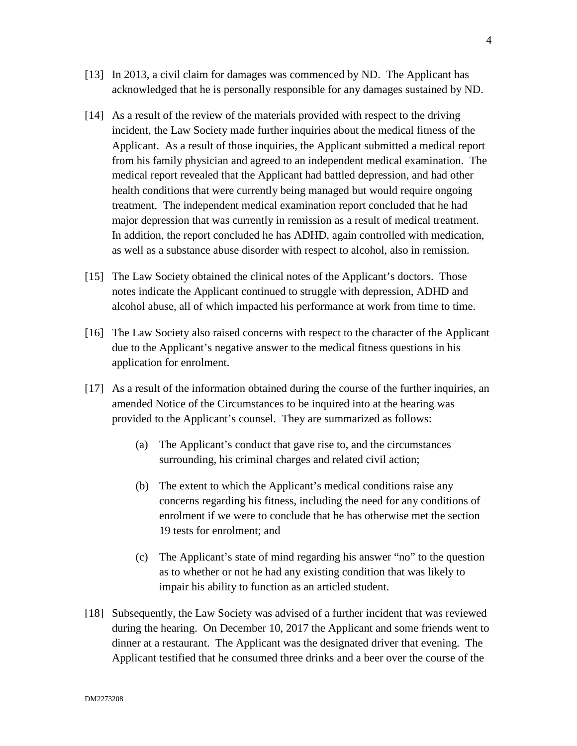- [13] In 2013, a civil claim for damages was commenced by ND. The Applicant has acknowledged that he is personally responsible for any damages sustained by ND.
- [14] As a result of the review of the materials provided with respect to the driving incident, the Law Society made further inquiries about the medical fitness of the Applicant. As a result of those inquiries, the Applicant submitted a medical report from his family physician and agreed to an independent medical examination. The medical report revealed that the Applicant had battled depression, and had other health conditions that were currently being managed but would require ongoing treatment. The independent medical examination report concluded that he had major depression that was currently in remission as a result of medical treatment. In addition, the report concluded he has ADHD, again controlled with medication, as well as a substance abuse disorder with respect to alcohol, also in remission.
- [15] The Law Society obtained the clinical notes of the Applicant's doctors. Those notes indicate the Applicant continued to struggle with depression, ADHD and alcohol abuse, all of which impacted his performance at work from time to time.
- [16] The Law Society also raised concerns with respect to the character of the Applicant due to the Applicant's negative answer to the medical fitness questions in his application for enrolment.
- [17] As a result of the information obtained during the course of the further inquiries, an amended Notice of the Circumstances to be inquired into at the hearing was provided to the Applicant's counsel. They are summarized as follows:
	- (a) The Applicant's conduct that gave rise to, and the circumstances surrounding, his criminal charges and related civil action;
	- (b) The extent to which the Applicant's medical conditions raise any concerns regarding his fitness, including the need for any conditions of enrolment if we were to conclude that he has otherwise met the section 19 tests for enrolment; and
	- (c) The Applicant's state of mind regarding his answer "no" to the question as to whether or not he had any existing condition that was likely to impair his ability to function as an articled student.
- [18] Subsequently, the Law Society was advised of a further incident that was reviewed during the hearing. On December 10, 2017 the Applicant and some friends went to dinner at a restaurant. The Applicant was the designated driver that evening. The Applicant testified that he consumed three drinks and a beer over the course of the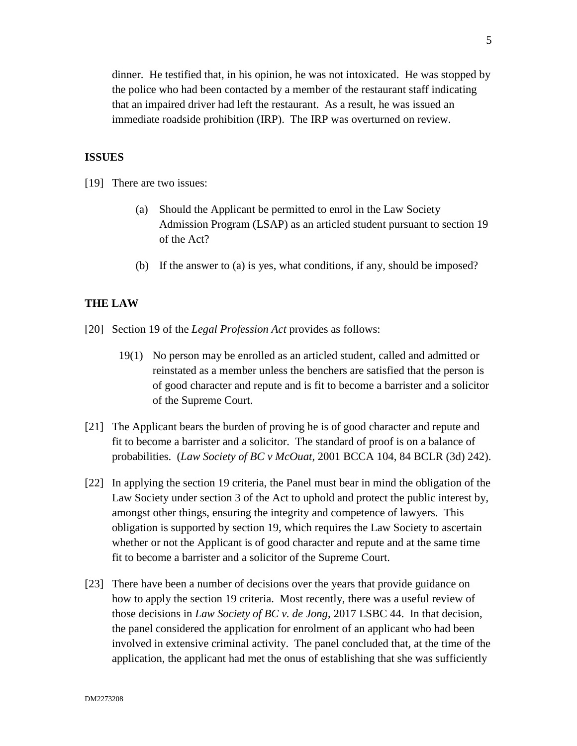dinner. He testified that, in his opinion, he was not intoxicated. He was stopped by the police who had been contacted by a member of the restaurant staff indicating that an impaired driver had left the restaurant. As a result, he was issued an immediate roadside prohibition (IRP). The IRP was overturned on review.

## **ISSUES**

[19] There are two issues:

- (a) Should the Applicant be permitted to enrol in the Law Society Admission Program (LSAP) as an articled student pursuant to section 19 of the Act?
- (b) If the answer to (a) is yes, what conditions, if any, should be imposed?

## **THE LAW**

- [20] Section 19 of the *Legal Profession Act* provides as follows:
	- 19(1) No person may be enrolled as an articled student, called and admitted or reinstated as a member unless the benchers are satisfied that the person is of good character and repute and is fit to become a barrister and a solicitor of the Supreme Court.
- [21] The Applicant bears the burden of proving he is of good character and repute and fit to become a barrister and a solicitor. The standard of proof is on a balance of probabilities. (*Law Society of BC v McOuat*, 2001 BCCA 104, 84 BCLR (3d) 242).
- [22] In applying the section 19 criteria, the Panel must bear in mind the obligation of the Law Society under section 3 of the Act to uphold and protect the public interest by, amongst other things, ensuring the integrity and competence of lawyers. This obligation is supported by section 19, which requires the Law Society to ascertain whether or not the Applicant is of good character and repute and at the same time fit to become a barrister and a solicitor of the Supreme Court.
- [23] There have been a number of decisions over the years that provide guidance on how to apply the section 19 criteria. Most recently, there was a useful review of those decisions in *Law Society of BC v. de Jong*, 2017 LSBC 44. In that decision, the panel considered the application for enrolment of an applicant who had been involved in extensive criminal activity. The panel concluded that, at the time of the application, the applicant had met the onus of establishing that she was sufficiently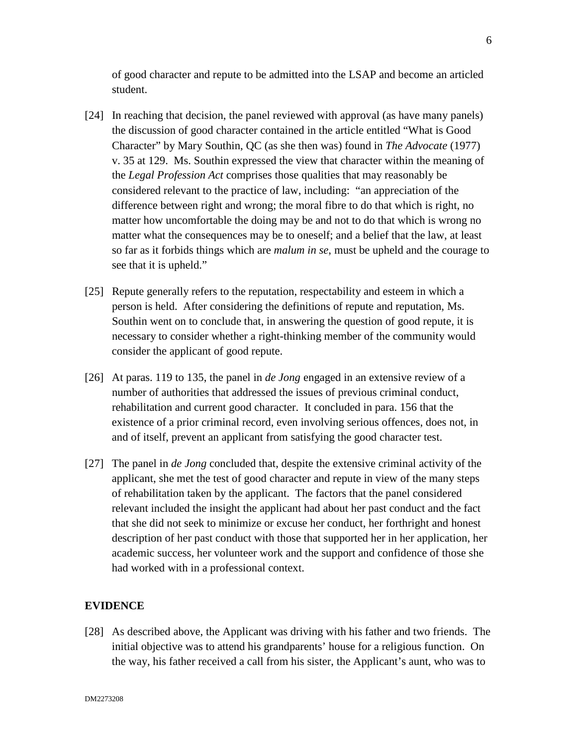of good character and repute to be admitted into the LSAP and become an articled student.

- [24] In reaching that decision, the panel reviewed with approval (as have many panels) the discussion of good character contained in the article entitled "What is Good Character" by Mary Southin, QC (as she then was) found in *The Advocate* (1977) v. 35 at 129. Ms. Southin expressed the view that character within the meaning of the *Legal Profession Act* comprises those qualities that may reasonably be considered relevant to the practice of law, including: "an appreciation of the difference between right and wrong; the moral fibre to do that which is right, no matter how uncomfortable the doing may be and not to do that which is wrong no matter what the consequences may be to oneself; and a belief that the law, at least so far as it forbids things which are *malum in se*, must be upheld and the courage to see that it is upheld."
- [25] Repute generally refers to the reputation, respectability and esteem in which a person is held. After considering the definitions of repute and reputation, Ms. Southin went on to conclude that, in answering the question of good repute, it is necessary to consider whether a right-thinking member of the community would consider the applicant of good repute.
- [26] At paras. 119 to 135, the panel in *de Jong* engaged in an extensive review of a number of authorities that addressed the issues of previous criminal conduct, rehabilitation and current good character. It concluded in para. 156 that the existence of a prior criminal record, even involving serious offences, does not, in and of itself, prevent an applicant from satisfying the good character test.
- [27] The panel in *de Jong* concluded that, despite the extensive criminal activity of the applicant, she met the test of good character and repute in view of the many steps of rehabilitation taken by the applicant. The factors that the panel considered relevant included the insight the applicant had about her past conduct and the fact that she did not seek to minimize or excuse her conduct, her forthright and honest description of her past conduct with those that supported her in her application, her academic success, her volunteer work and the support and confidence of those she had worked with in a professional context.

# **EVIDENCE**

[28] As described above, the Applicant was driving with his father and two friends. The initial objective was to attend his grandparents' house for a religious function. On the way, his father received a call from his sister, the Applicant's aunt, who was to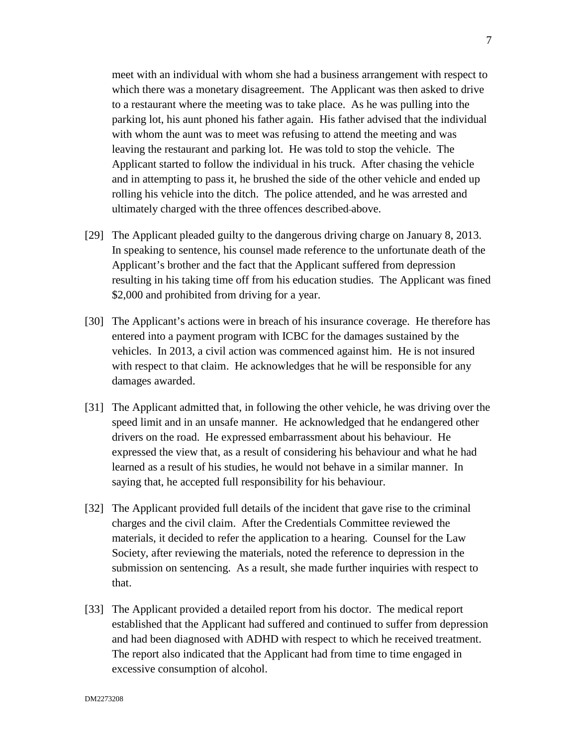meet with an individual with whom she had a business arrangement with respect to which there was a monetary disagreement. The Applicant was then asked to drive to a restaurant where the meeting was to take place. As he was pulling into the parking lot, his aunt phoned his father again. His father advised that the individual with whom the aunt was to meet was refusing to attend the meeting and was leaving the restaurant and parking lot. He was told to stop the vehicle. The Applicant started to follow the individual in his truck. After chasing the vehicle and in attempting to pass it, he brushed the side of the other vehicle and ended up rolling his vehicle into the ditch. The police attended, and he was arrested and ultimately charged with the three offences described above.

- [29] The Applicant pleaded guilty to the dangerous driving charge on January 8, 2013. In speaking to sentence, his counsel made reference to the unfortunate death of the Applicant's brother and the fact that the Applicant suffered from depression resulting in his taking time off from his education studies. The Applicant was fined \$2,000 and prohibited from driving for a year.
- [30] The Applicant's actions were in breach of his insurance coverage. He therefore has entered into a payment program with ICBC for the damages sustained by the vehicles. In 2013, a civil action was commenced against him. He is not insured with respect to that claim. He acknowledges that he will be responsible for any damages awarded.
- [31] The Applicant admitted that, in following the other vehicle, he was driving over the speed limit and in an unsafe manner. He acknowledged that he endangered other drivers on the road. He expressed embarrassment about his behaviour. He expressed the view that, as a result of considering his behaviour and what he had learned as a result of his studies, he would not behave in a similar manner. In saying that, he accepted full responsibility for his behaviour.
- [32] The Applicant provided full details of the incident that gave rise to the criminal charges and the civil claim. After the Credentials Committee reviewed the materials, it decided to refer the application to a hearing. Counsel for the Law Society, after reviewing the materials, noted the reference to depression in the submission on sentencing. As a result, she made further inquiries with respect to that.
- [33] The Applicant provided a detailed report from his doctor. The medical report established that the Applicant had suffered and continued to suffer from depression and had been diagnosed with ADHD with respect to which he received treatment. The report also indicated that the Applicant had from time to time engaged in excessive consumption of alcohol.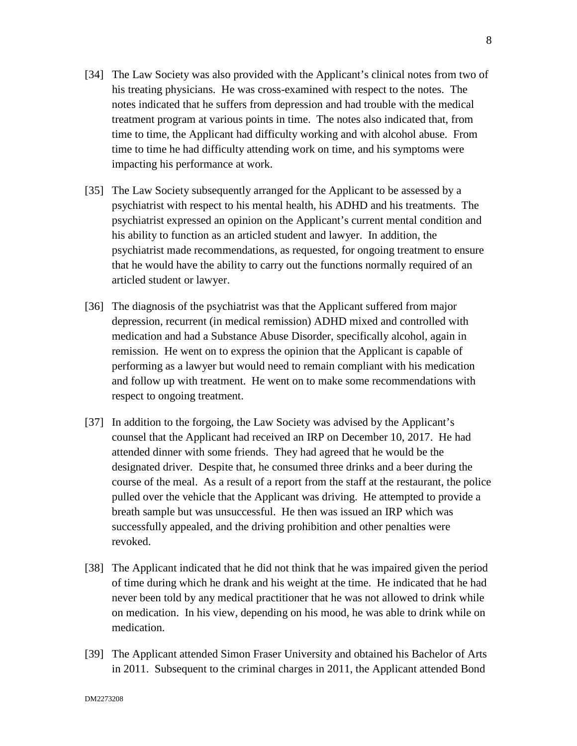- [34] The Law Society was also provided with the Applicant's clinical notes from two of his treating physicians. He was cross-examined with respect to the notes. The notes indicated that he suffers from depression and had trouble with the medical treatment program at various points in time. The notes also indicated that, from time to time, the Applicant had difficulty working and with alcohol abuse. From time to time he had difficulty attending work on time, and his symptoms were impacting his performance at work.
- [35] The Law Society subsequently arranged for the Applicant to be assessed by a psychiatrist with respect to his mental health, his ADHD and his treatments. The psychiatrist expressed an opinion on the Applicant's current mental condition and his ability to function as an articled student and lawyer. In addition, the psychiatrist made recommendations, as requested, for ongoing treatment to ensure that he would have the ability to carry out the functions normally required of an articled student or lawyer.
- [36] The diagnosis of the psychiatrist was that the Applicant suffered from major depression, recurrent (in medical remission) ADHD mixed and controlled with medication and had a Substance Abuse Disorder, specifically alcohol, again in remission. He went on to express the opinion that the Applicant is capable of performing as a lawyer but would need to remain compliant with his medication and follow up with treatment. He went on to make some recommendations with respect to ongoing treatment.
- [37] In addition to the forgoing, the Law Society was advised by the Applicant's counsel that the Applicant had received an IRP on December 10, 2017. He had attended dinner with some friends. They had agreed that he would be the designated driver. Despite that, he consumed three drinks and a beer during the course of the meal. As a result of a report from the staff at the restaurant, the police pulled over the vehicle that the Applicant was driving. He attempted to provide a breath sample but was unsuccessful. He then was issued an IRP which was successfully appealed, and the driving prohibition and other penalties were revoked.
- [38] The Applicant indicated that he did not think that he was impaired given the period of time during which he drank and his weight at the time. He indicated that he had never been told by any medical practitioner that he was not allowed to drink while on medication. In his view, depending on his mood, he was able to drink while on medication.
- [39] The Applicant attended Simon Fraser University and obtained his Bachelor of Arts in 2011. Subsequent to the criminal charges in 2011, the Applicant attended Bond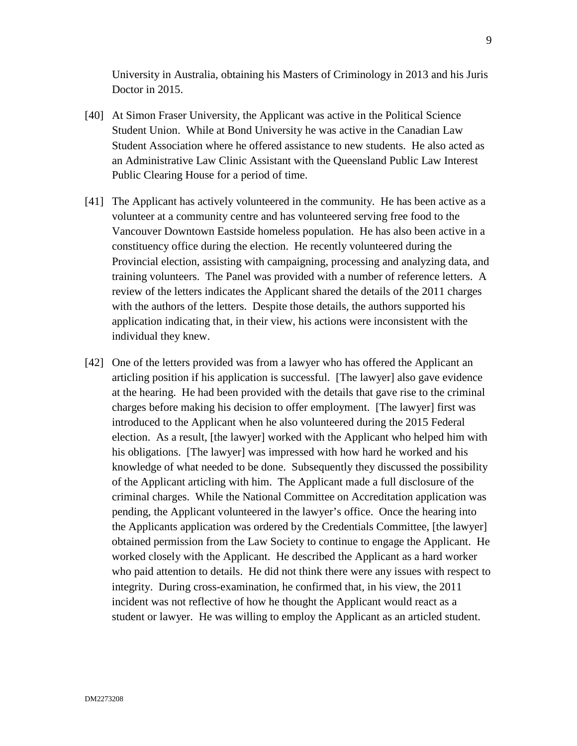University in Australia, obtaining his Masters of Criminology in 2013 and his Juris Doctor in 2015.

- [40] At Simon Fraser University, the Applicant was active in the Political Science Student Union. While at Bond University he was active in the Canadian Law Student Association where he offered assistance to new students. He also acted as an Administrative Law Clinic Assistant with the Queensland Public Law Interest Public Clearing House for a period of time.
- [41] The Applicant has actively volunteered in the community. He has been active as a volunteer at a community centre and has volunteered serving free food to the Vancouver Downtown Eastside homeless population. He has also been active in a constituency office during the election. He recently volunteered during the Provincial election, assisting with campaigning, processing and analyzing data, and training volunteers. The Panel was provided with a number of reference letters. A review of the letters indicates the Applicant shared the details of the 2011 charges with the authors of the letters. Despite those details, the authors supported his application indicating that, in their view, his actions were inconsistent with the individual they knew.
- [42] One of the letters provided was from a lawyer who has offered the Applicant an articling position if his application is successful. [The lawyer] also gave evidence at the hearing. He had been provided with the details that gave rise to the criminal charges before making his decision to offer employment. [The lawyer] first was introduced to the Applicant when he also volunteered during the 2015 Federal election. As a result, [the lawyer] worked with the Applicant who helped him with his obligations. [The lawyer] was impressed with how hard he worked and his knowledge of what needed to be done. Subsequently they discussed the possibility of the Applicant articling with him. The Applicant made a full disclosure of the criminal charges. While the National Committee on Accreditation application was pending, the Applicant volunteered in the lawyer's office. Once the hearing into the Applicants application was ordered by the Credentials Committee, [the lawyer] obtained permission from the Law Society to continue to engage the Applicant. He worked closely with the Applicant. He described the Applicant as a hard worker who paid attention to details. He did not think there were any issues with respect to integrity. During cross-examination, he confirmed that, in his view, the 2011 incident was not reflective of how he thought the Applicant would react as a student or lawyer. He was willing to employ the Applicant as an articled student.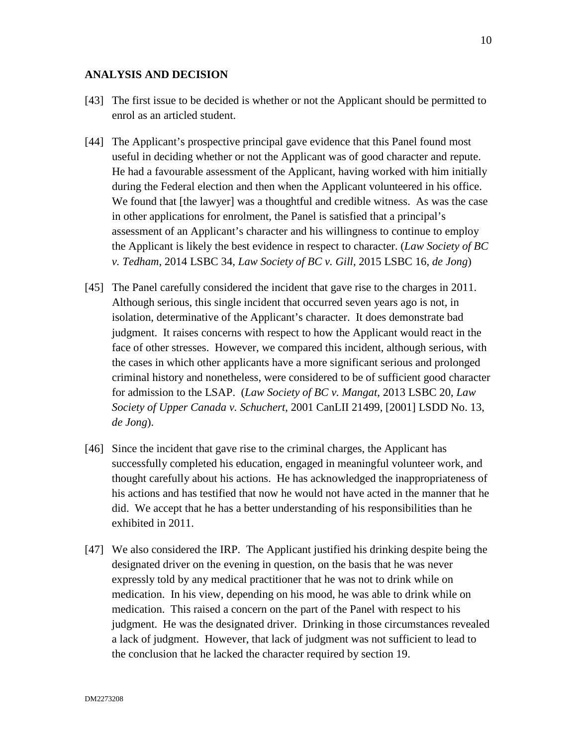## **ANALYSIS AND DECISION**

- [43] The first issue to be decided is whether or not the Applicant should be permitted to enrol as an articled student.
- [44] The Applicant's prospective principal gave evidence that this Panel found most useful in deciding whether or not the Applicant was of good character and repute. He had a favourable assessment of the Applicant, having worked with him initially during the Federal election and then when the Applicant volunteered in his office. We found that [the lawyer] was a thoughtful and credible witness. As was the case in other applications for enrolment, the Panel is satisfied that a principal's assessment of an Applicant's character and his willingness to continue to employ the Applicant is likely the best evidence in respect to character. (*Law Society of BC v. Tedham*, 2014 LSBC 34, *Law Society of BC v. Gill*, 2015 LSBC 16, *de Jong*)
- [45] The Panel carefully considered the incident that gave rise to the charges in 2011. Although serious, this single incident that occurred seven years ago is not, in isolation, determinative of the Applicant's character. It does demonstrate bad judgment. It raises concerns with respect to how the Applicant would react in the face of other stresses. However, we compared this incident, although serious, with the cases in which other applicants have a more significant serious and prolonged criminal history and nonetheless, were considered to be of sufficient good character for admission to the LSAP. (*Law Society of BC v. Mangat*, 2013 LSBC 20, *Law Society of Upper Canada v. Schuchert*, 2001 CanLII 21499, [2001] LSDD No. 13, *de Jong*).
- [46] Since the incident that gave rise to the criminal charges, the Applicant has successfully completed his education, engaged in meaningful volunteer work, and thought carefully about his actions. He has acknowledged the inappropriateness of his actions and has testified that now he would not have acted in the manner that he did. We accept that he has a better understanding of his responsibilities than he exhibited in 2011.
- [47] We also considered the IRP. The Applicant justified his drinking despite being the designated driver on the evening in question, on the basis that he was never expressly told by any medical practitioner that he was not to drink while on medication. In his view, depending on his mood, he was able to drink while on medication. This raised a concern on the part of the Panel with respect to his judgment. He was the designated driver. Drinking in those circumstances revealed a lack of judgment. However, that lack of judgment was not sufficient to lead to the conclusion that he lacked the character required by section 19.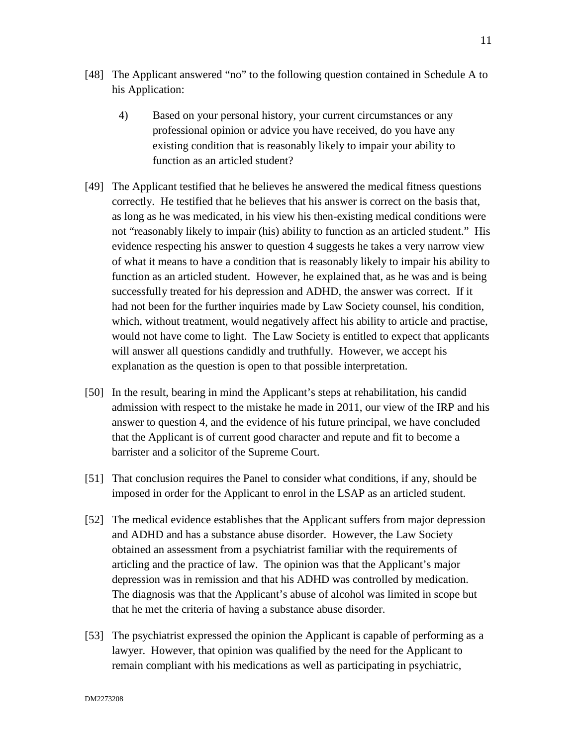- [48] The Applicant answered "no" to the following question contained in Schedule A to his Application:
	- 4) Based on your personal history, your current circumstances or any professional opinion or advice you have received, do you have any existing condition that is reasonably likely to impair your ability to function as an articled student?
- [49] The Applicant testified that he believes he answered the medical fitness questions correctly. He testified that he believes that his answer is correct on the basis that, as long as he was medicated, in his view his then-existing medical conditions were not "reasonably likely to impair (his) ability to function as an articled student." His evidence respecting his answer to question 4 suggests he takes a very narrow view of what it means to have a condition that is reasonably likely to impair his ability to function as an articled student. However, he explained that, as he was and is being successfully treated for his depression and ADHD, the answer was correct. If it had not been for the further inquiries made by Law Society counsel, his condition, which, without treatment, would negatively affect his ability to article and practise, would not have come to light. The Law Society is entitled to expect that applicants will answer all questions candidly and truthfully. However, we accept his explanation as the question is open to that possible interpretation.
- [50] In the result, bearing in mind the Applicant's steps at rehabilitation, his candid admission with respect to the mistake he made in 2011, our view of the IRP and his answer to question 4, and the evidence of his future principal, we have concluded that the Applicant is of current good character and repute and fit to become a barrister and a solicitor of the Supreme Court.
- [51] That conclusion requires the Panel to consider what conditions, if any, should be imposed in order for the Applicant to enrol in the LSAP as an articled student.
- [52] The medical evidence establishes that the Applicant suffers from major depression and ADHD and has a substance abuse disorder. However, the Law Society obtained an assessment from a psychiatrist familiar with the requirements of articling and the practice of law. The opinion was that the Applicant's major depression was in remission and that his ADHD was controlled by medication. The diagnosis was that the Applicant's abuse of alcohol was limited in scope but that he met the criteria of having a substance abuse disorder.
- [53] The psychiatrist expressed the opinion the Applicant is capable of performing as a lawyer. However, that opinion was qualified by the need for the Applicant to remain compliant with his medications as well as participating in psychiatric,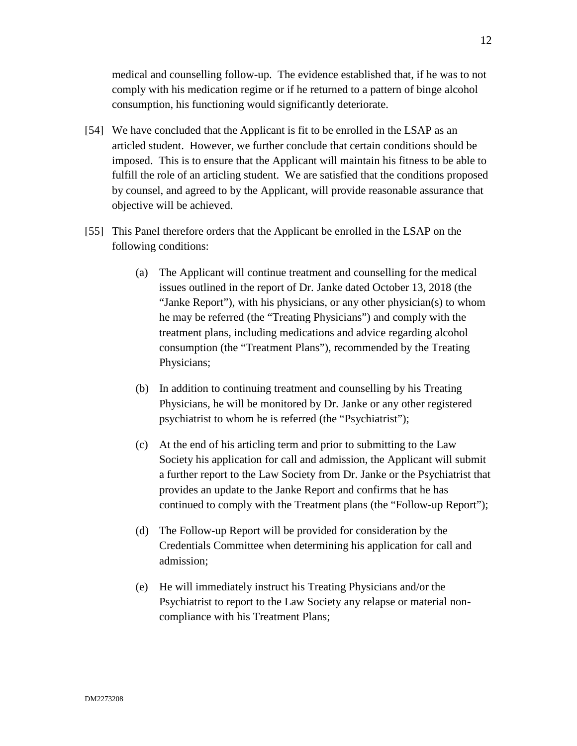medical and counselling follow-up. The evidence established that, if he was to not comply with his medication regime or if he returned to a pattern of binge alcohol consumption, his functioning would significantly deteriorate.

- [54] We have concluded that the Applicant is fit to be enrolled in the LSAP as an articled student. However, we further conclude that certain conditions should be imposed. This is to ensure that the Applicant will maintain his fitness to be able to fulfill the role of an articling student. We are satisfied that the conditions proposed by counsel, and agreed to by the Applicant, will provide reasonable assurance that objective will be achieved.
- [55] This Panel therefore orders that the Applicant be enrolled in the LSAP on the following conditions:
	- (a) The Applicant will continue treatment and counselling for the medical issues outlined in the report of Dr. Janke dated October 13, 2018 (the "Janke Report"), with his physicians, or any other physician(s) to whom he may be referred (the "Treating Physicians") and comply with the treatment plans, including medications and advice regarding alcohol consumption (the "Treatment Plans"), recommended by the Treating Physicians;
	- (b) In addition to continuing treatment and counselling by his Treating Physicians, he will be monitored by Dr. Janke or any other registered psychiatrist to whom he is referred (the "Psychiatrist");
	- (c) At the end of his articling term and prior to submitting to the Law Society his application for call and admission, the Applicant will submit a further report to the Law Society from Dr. Janke or the Psychiatrist that provides an update to the Janke Report and confirms that he has continued to comply with the Treatment plans (the "Follow-up Report");
	- (d) The Follow-up Report will be provided for consideration by the Credentials Committee when determining his application for call and admission;
	- (e) He will immediately instruct his Treating Physicians and/or the Psychiatrist to report to the Law Society any relapse or material noncompliance with his Treatment Plans;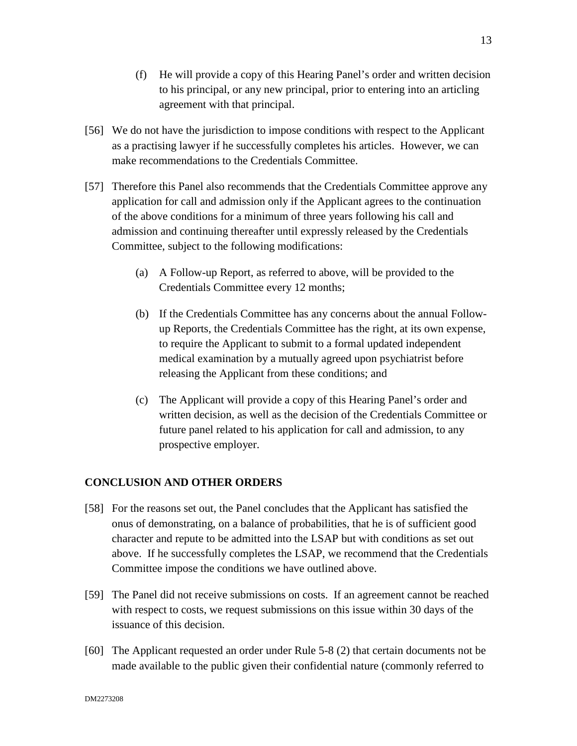- (f) He will provide a copy of this Hearing Panel's order and written decision to his principal, or any new principal, prior to entering into an articling agreement with that principal.
- [56] We do not have the jurisdiction to impose conditions with respect to the Applicant as a practising lawyer if he successfully completes his articles. However, we can make recommendations to the Credentials Committee.
- [57] Therefore this Panel also recommends that the Credentials Committee approve any application for call and admission only if the Applicant agrees to the continuation of the above conditions for a minimum of three years following his call and admission and continuing thereafter until expressly released by the Credentials Committee, subject to the following modifications:
	- (a) A Follow-up Report, as referred to above, will be provided to the Credentials Committee every 12 months;
	- (b) If the Credentials Committee has any concerns about the annual Followup Reports, the Credentials Committee has the right, at its own expense, to require the Applicant to submit to a formal updated independent medical examination by a mutually agreed upon psychiatrist before releasing the Applicant from these conditions; and
	- (c) The Applicant will provide a copy of this Hearing Panel's order and written decision, as well as the decision of the Credentials Committee or future panel related to his application for call and admission, to any prospective employer.

# **CONCLUSION AND OTHER ORDERS**

- [58] For the reasons set out, the Panel concludes that the Applicant has satisfied the onus of demonstrating, on a balance of probabilities, that he is of sufficient good character and repute to be admitted into the LSAP but with conditions as set out above. If he successfully completes the LSAP, we recommend that the Credentials Committee impose the conditions we have outlined above.
- [59] The Panel did not receive submissions on costs. If an agreement cannot be reached with respect to costs, we request submissions on this issue within 30 days of the issuance of this decision.
- [60] The Applicant requested an order under Rule 5-8 (2) that certain documents not be made available to the public given their confidential nature (commonly referred to